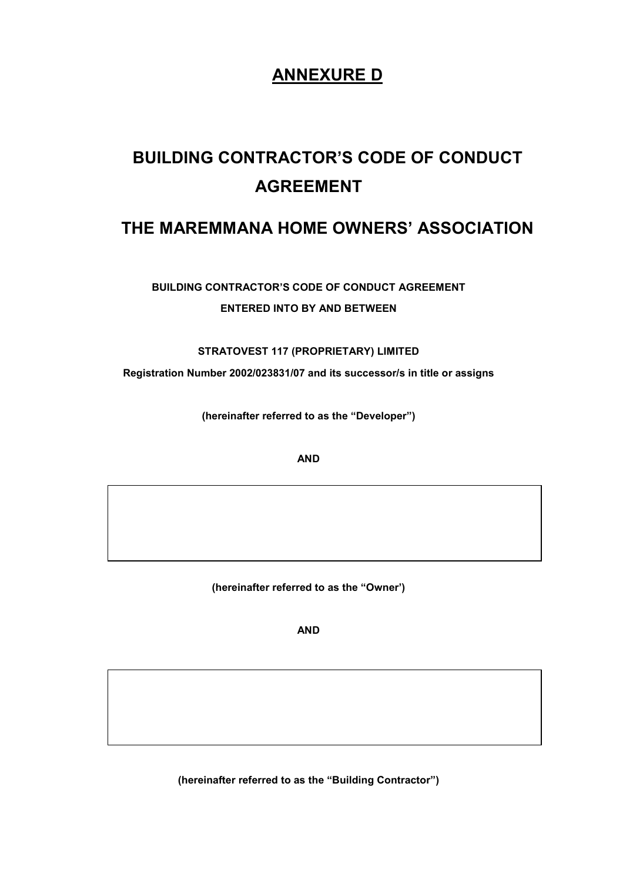# ANNEXURE D

# BUILDING CONTRACTOR'S CODE OF CONDUCT AGREEMENT

## THE MAREMMANA HOME OWNERS' ASSOCIATION

BUILDING CONTRACTOR'S CODE OF CONDUCT AGREEMENT ENTERED INTO BY AND BETWEEN

## STRATOVEST 117 (PROPRIETARY) LIMITED

Registration Number 2002/023831/07 and its successor/s in title or assigns

(hereinafter referred to as the "Developer")

**AND** 

(hereinafter referred to as the "Owner')

AND

(hereinafter referred to as the "Building Contractor")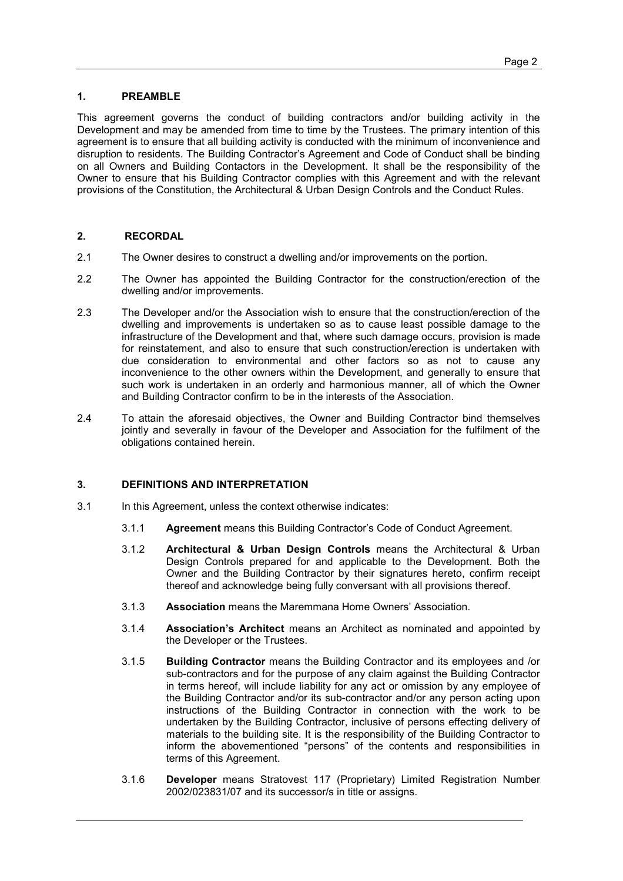#### 1. PREAMBLE

This agreement governs the conduct of building contractors and/or building activity in the Development and may be amended from time to time by the Trustees. The primary intention of this agreement is to ensure that all building activity is conducted with the minimum of inconvenience and disruption to residents. The Building Contractor's Agreement and Code of Conduct shall be binding on all Owners and Building Contactors in the Development. It shall be the responsibility of the Owner to ensure that his Building Contractor complies with this Agreement and with the relevant provisions of the Constitution, the Architectural & Urban Design Controls and the Conduct Rules.

#### 2. RECORDAL

- 2.1 The Owner desires to construct a dwelling and/or improvements on the portion.
- 2.2 The Owner has appointed the Building Contractor for the construction/erection of the dwelling and/or improvements.
- 2.3 The Developer and/or the Association wish to ensure that the construction/erection of the dwelling and improvements is undertaken so as to cause least possible damage to the infrastructure of the Development and that, where such damage occurs, provision is made for reinstatement, and also to ensure that such construction/erection is undertaken with due consideration to environmental and other factors so as not to cause any inconvenience to the other owners within the Development, and generally to ensure that such work is undertaken in an orderly and harmonious manner, all of which the Owner and Building Contractor confirm to be in the interests of the Association.
- 2.4 To attain the aforesaid objectives, the Owner and Building Contractor bind themselves jointly and severally in favour of the Developer and Association for the fulfilment of the obligations contained herein.

#### 3. DEFINITIONS AND INTERPRETATION

- 3.1 In this Agreement, unless the context otherwise indicates:
	- 3.1.1 Agreement means this Building Contractor's Code of Conduct Agreement.
	- 3.1.2 Architectural & Urban Design Controls means the Architectural & Urban Design Controls prepared for and applicable to the Development. Both the Owner and the Building Contractor by their signatures hereto, confirm receipt thereof and acknowledge being fully conversant with all provisions thereof.
	- 3.1.3 Association means the Maremmana Home Owners' Association.
	- 3.1.4 Association's Architect means an Architect as nominated and appointed by the Developer or the Trustees.
	- 3.1.5 Building Contractor means the Building Contractor and its employees and /or sub-contractors and for the purpose of any claim against the Building Contractor in terms hereof, will include liability for any act or omission by any employee of the Building Contractor and/or its sub-contractor and/or any person acting upon instructions of the Building Contractor in connection with the work to be undertaken by the Building Contractor, inclusive of persons effecting delivery of materials to the building site. It is the responsibility of the Building Contractor to inform the abovementioned "persons" of the contents and responsibilities in terms of this Agreement.
	- 3.1.6 Developer means Stratovest 117 (Proprietary) Limited Registration Number 2002/023831/07 and its successor/s in title or assigns.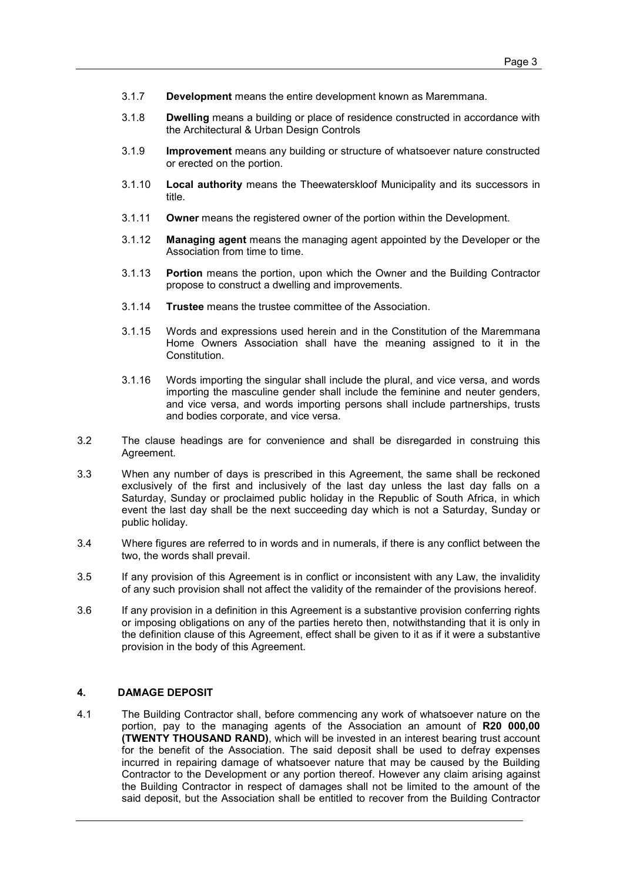- 3.1.7 Development means the entire development known as Maremmana.
- 3.1.8 Dwelling means a building or place of residence constructed in accordance with the Architectural & Urban Design Controls
- 3.1.9 Improvement means any building or structure of whatsoever nature constructed or erected on the portion.
- 3.1.10 Local authority means the Theewaterskloof Municipality and its successors in title.
- 3.1.11 Owner means the registered owner of the portion within the Development.
- 3.1.12 Managing agent means the managing agent appointed by the Developer or the Association from time to time.
- 3.1.13 Portion means the portion, upon which the Owner and the Building Contractor propose to construct a dwelling and improvements.
- 3.1.14 Trustee means the trustee committee of the Association.
- 3.1.15 Words and expressions used herein and in the Constitution of the Maremmana Home Owners Association shall have the meaning assigned to it in the Constitution.
- 3.1.16 Words importing the singular shall include the plural, and vice versa, and words importing the masculine gender shall include the feminine and neuter genders, and vice versa, and words importing persons shall include partnerships, trusts and bodies corporate, and vice versa.
- 3.2 The clause headings are for convenience and shall be disregarded in construing this Agreement.
- 3.3 When any number of days is prescribed in this Agreement, the same shall be reckoned exclusively of the first and inclusively of the last day unless the last day falls on a Saturday, Sunday or proclaimed public holiday in the Republic of South Africa, in which event the last day shall be the next succeeding day which is not a Saturday, Sunday or public holiday.
- 3.4 Where figures are referred to in words and in numerals, if there is any conflict between the two, the words shall prevail.
- 3.5 If any provision of this Agreement is in conflict or inconsistent with any Law, the invalidity of any such provision shall not affect the validity of the remainder of the provisions hereof.
- 3.6 If any provision in a definition in this Agreement is a substantive provision conferring rights or imposing obligations on any of the parties hereto then, notwithstanding that it is only in the definition clause of this Agreement, effect shall be given to it as if it were a substantive provision in the body of this Agreement.

#### 4. DAMAGE DEPOSIT

4.1 The Building Contractor shall, before commencing any work of whatsoever nature on the portion, pay to the managing agents of the Association an amount of R20 000,00 (TWENTY THOUSAND RAND), which will be invested in an interest bearing trust account for the benefit of the Association. The said deposit shall be used to defray expenses incurred in repairing damage of whatsoever nature that may be caused by the Building Contractor to the Development or any portion thereof. However any claim arising against the Building Contractor in respect of damages shall not be limited to the amount of the said deposit, but the Association shall be entitled to recover from the Building Contractor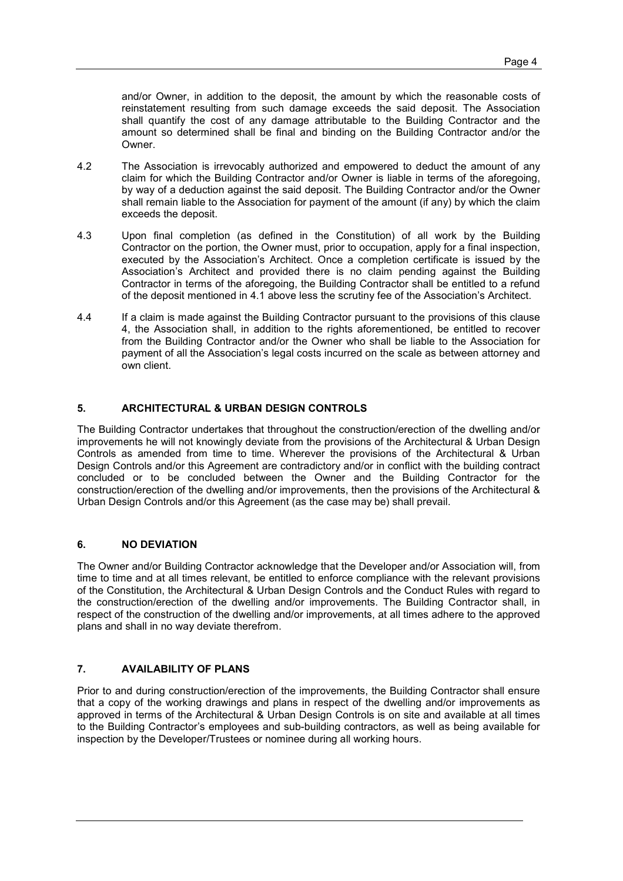and/or Owner, in addition to the deposit, the amount by which the reasonable costs of reinstatement resulting from such damage exceeds the said deposit. The Association shall quantify the cost of any damage attributable to the Building Contractor and the amount so determined shall be final and binding on the Building Contractor and/or the Owner.

- 4.2 The Association is irrevocably authorized and empowered to deduct the amount of any claim for which the Building Contractor and/or Owner is liable in terms of the aforegoing, by way of a deduction against the said deposit. The Building Contractor and/or the Owner shall remain liable to the Association for payment of the amount (if any) by which the claim exceeds the deposit.
- 4.3 Upon final completion (as defined in the Constitution) of all work by the Building Contractor on the portion, the Owner must, prior to occupation, apply for a final inspection, executed by the Association's Architect. Once a completion certificate is issued by the Association's Architect and provided there is no claim pending against the Building Contractor in terms of the aforegoing, the Building Contractor shall be entitled to a refund of the deposit mentioned in 4.1 above less the scrutiny fee of the Association's Architect.
- 4.4 If a claim is made against the Building Contractor pursuant to the provisions of this clause 4, the Association shall, in addition to the rights aforementioned, be entitled to recover from the Building Contractor and/or the Owner who shall be liable to the Association for payment of all the Association's legal costs incurred on the scale as between attorney and own client.

#### 5. ARCHITECTURAL & URBAN DESIGN CONTROLS

The Building Contractor undertakes that throughout the construction/erection of the dwelling and/or improvements he will not knowingly deviate from the provisions of the Architectural & Urban Design Controls as amended from time to time. Wherever the provisions of the Architectural & Urban Design Controls and/or this Agreement are contradictory and/or in conflict with the building contract concluded or to be concluded between the Owner and the Building Contractor for the construction/erection of the dwelling and/or improvements, then the provisions of the Architectural & Urban Design Controls and/or this Agreement (as the case may be) shall prevail.

#### 6. NO DEVIATION

The Owner and/or Building Contractor acknowledge that the Developer and/or Association will, from time to time and at all times relevant, be entitled to enforce compliance with the relevant provisions of the Constitution, the Architectural & Urban Design Controls and the Conduct Rules with regard to the construction/erection of the dwelling and/or improvements. The Building Contractor shall, in respect of the construction of the dwelling and/or improvements, at all times adhere to the approved plans and shall in no way deviate therefrom.

### 7. AVAILABILITY OF PLANS

Prior to and during construction/erection of the improvements, the Building Contractor shall ensure that a copy of the working drawings and plans in respect of the dwelling and/or improvements as approved in terms of the Architectural & Urban Design Controls is on site and available at all times to the Building Contractor's employees and sub-building contractors, as well as being available for inspection by the Developer/Trustees or nominee during all working hours.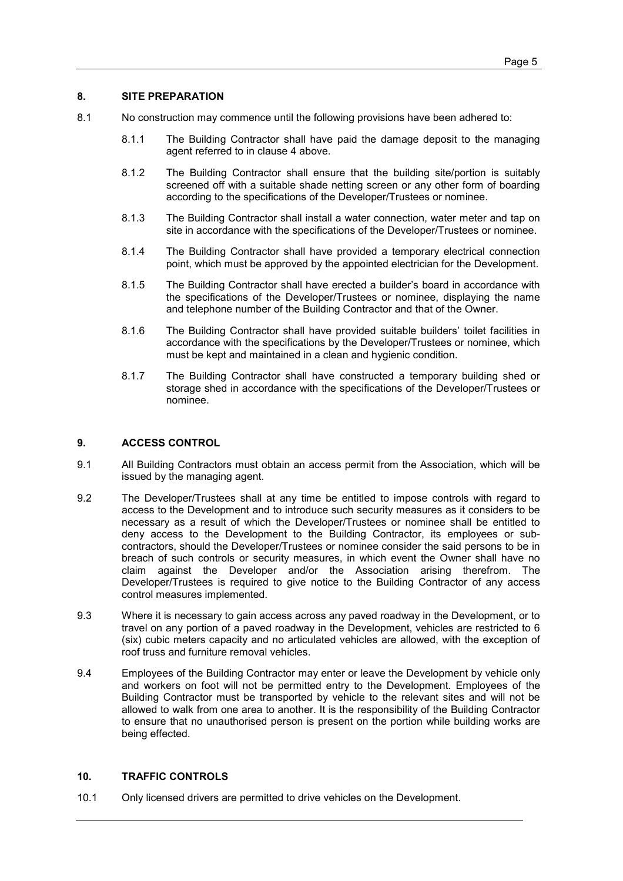#### 8. SITE PREPARATION

- 8.1 No construction may commence until the following provisions have been adhered to:
	- 8.1.1 The Building Contractor shall have paid the damage deposit to the managing agent referred to in clause 4 above.
	- 8.1.2 The Building Contractor shall ensure that the building site/portion is suitably screened off with a suitable shade netting screen or any other form of boarding according to the specifications of the Developer/Trustees or nominee.
	- 8.1.3 The Building Contractor shall install a water connection, water meter and tap on site in accordance with the specifications of the Developer/Trustees or nominee.
	- 8.1.4 The Building Contractor shall have provided a temporary electrical connection point, which must be approved by the appointed electrician for the Development.
	- 8.1.5 The Building Contractor shall have erected a builder's board in accordance with the specifications of the Developer/Trustees or nominee, displaying the name and telephone number of the Building Contractor and that of the Owner.
	- 8.1.6 The Building Contractor shall have provided suitable builders' toilet facilities in accordance with the specifications by the Developer/Trustees or nominee, which must be kept and maintained in a clean and hygienic condition.
	- 8.1.7 The Building Contractor shall have constructed a temporary building shed or storage shed in accordance with the specifications of the Developer/Trustees or nominee.

#### 9. ACCESS CONTROL

- 9.1 All Building Contractors must obtain an access permit from the Association, which will be issued by the managing agent.
- 9.2 The Developer/Trustees shall at any time be entitled to impose controls with regard to access to the Development and to introduce such security measures as it considers to be necessary as a result of which the Developer/Trustees or nominee shall be entitled to deny access to the Development to the Building Contractor, its employees or subcontractors, should the Developer/Trustees or nominee consider the said persons to be in breach of such controls or security measures, in which event the Owner shall have no claim against the Developer and/or the Association arising therefrom. The Developer/Trustees is required to give notice to the Building Contractor of any access control measures implemented.
- 9.3 Where it is necessary to gain access across any paved roadway in the Development, or to travel on any portion of a paved roadway in the Development, vehicles are restricted to 6 (six) cubic meters capacity and no articulated vehicles are allowed, with the exception of roof truss and furniture removal vehicles.
- 9.4 Employees of the Building Contractor may enter or leave the Development by vehicle only and workers on foot will not be permitted entry to the Development. Employees of the Building Contractor must be transported by vehicle to the relevant sites and will not be allowed to walk from one area to another. It is the responsibility of the Building Contractor to ensure that no unauthorised person is present on the portion while building works are being effected.

#### 10. TRAFFIC CONTROLS

10.1 Only licensed drivers are permitted to drive vehicles on the Development.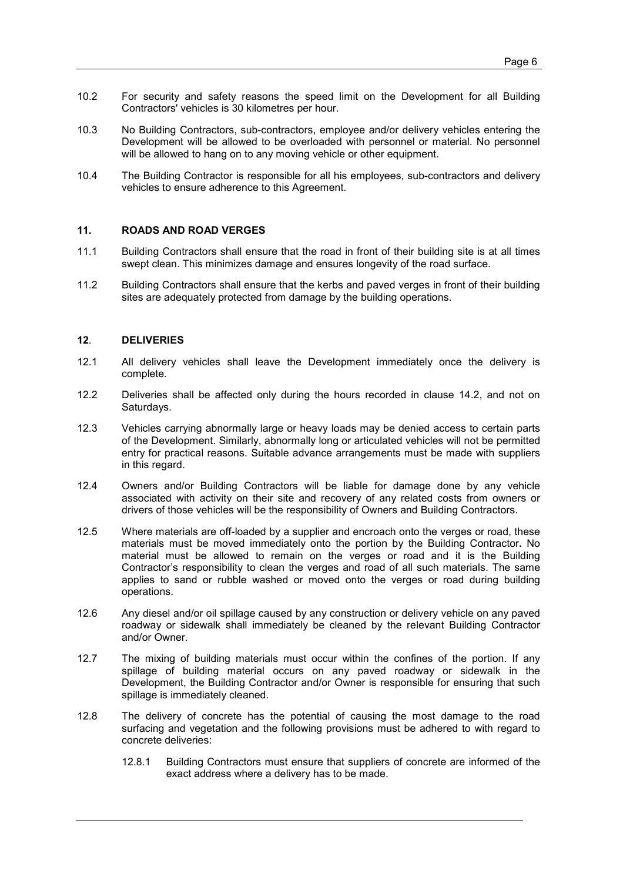- 10.2 For security and safety reasons the speed limit on the Development for all Building Contractors' vehicles is 30 kilometres per hour.
- 10.3 No Building Contractors, sub-contractors, employee and/or delivery vehicles entering the Development will be allowed to be overloaded with personnel or material. No personnel will be allowed to hang on to any moving vehicle or other equipment.
- 10.4 The Building Contractor is responsible for all his employees, sub-contractors and delivery vehicles to ensure adherence to this Agreement.

#### 11. ROADS AND ROAD VERGES

- 11.1 Building Contractors shall ensure that the road in front of their building site is at all times swept clean. This minimizes damage and ensures longevity of the road surface.
- 11.2 Building Contractors shall ensure that the kerbs and paved verges in front of their building sites are adequately protected from damage by the building operations.

#### 12. DELIVERIES

- 12.1 All delivery vehicles shall leave the Development immediately once the delivery is complete.
- 12.2 Deliveries shall be affected only during the hours recorded in clause 14.2, and not on Saturdays.
- 12.3 Vehicles carrying abnormally large or heavy loads may be denied access to certain parts of the Development. Similarly, abnormally long or articulated vehicles will not be permitted entry for practical reasons. Suitable advance arrangements must be made with suppliers in this regard.
- 12.4 Owners and/or Building Contractors will be liable for damage done by any vehicle associated with activity on their site and recovery of any related costs from owners or drivers of those vehicles will be the responsibility of Owners and Building Contractors.
- 12.5 Where materials are off-loaded by a supplier and encroach onto the verges or road, these materials must be moved immediately onto the portion by the Building Contractor. No material must be allowed to remain on the verges or road and it is the Building Contractor's responsibility to clean the verges and road of all such materials. The same applies to sand or rubble washed or moved onto the verges or road during building operations.
- 12.6 Any diesel and/or oil spillage caused by any construction or delivery vehicle on any paved roadway or sidewalk shall immediately be cleaned by the relevant Building Contractor and/or Owner.
- 12.7 The mixing of building materials must occur within the confines of the portion. If any spillage of building material occurs on any paved roadway or sidewalk in the Development, the Building Contractor and/or Owner is responsible for ensuring that such spillage is immediately cleaned.
- 12.8 The delivery of concrete has the potential of causing the most damage to the road surfacing and vegetation and the following provisions must be adhered to with regard to concrete deliveries:
	- 12.8.1 Building Contractors must ensure that suppliers of concrete are informed of the exact address where a delivery has to be made.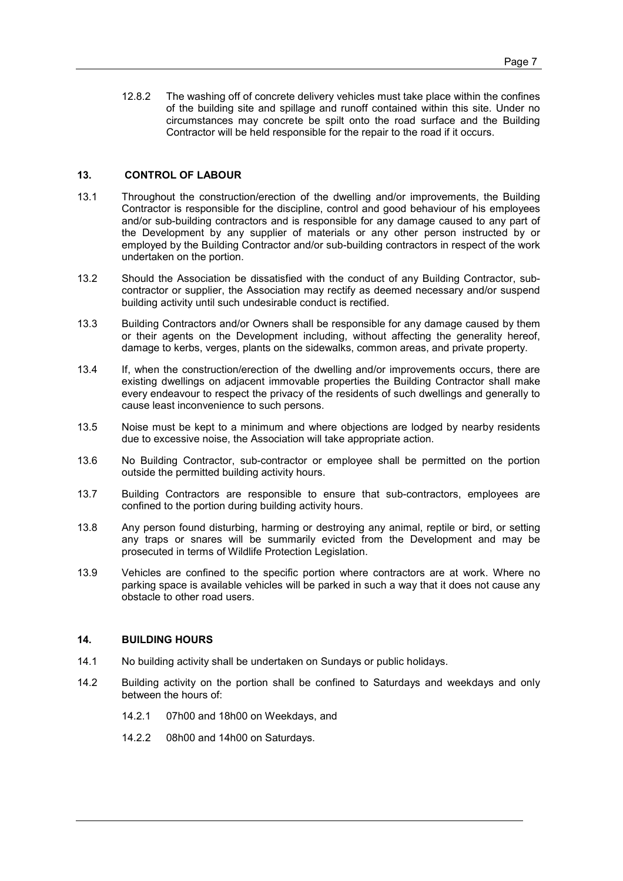12.8.2 The washing off of concrete delivery vehicles must take place within the confines of the building site and spillage and runoff contained within this site. Under no circumstances may concrete be spilt onto the road surface and the Building Contractor will be held responsible for the repair to the road if it occurs.

#### 13. CONTROL OF LABOUR

- 13.1 Throughout the construction/erection of the dwelling and/or improvements, the Building Contractor is responsible for the discipline, control and good behaviour of his employees and/or sub-building contractors and is responsible for any damage caused to any part of the Development by any supplier of materials or any other person instructed by or employed by the Building Contractor and/or sub-building contractors in respect of the work undertaken on the portion.
- 13.2 Should the Association be dissatisfied with the conduct of any Building Contractor, subcontractor or supplier, the Association may rectify as deemed necessary and/or suspend building activity until such undesirable conduct is rectified.
- 13.3 Building Contractors and/or Owners shall be responsible for any damage caused by them or their agents on the Development including, without affecting the generality hereof, damage to kerbs, verges, plants on the sidewalks, common areas, and private property.
- 13.4 If, when the construction/erection of the dwelling and/or improvements occurs, there are existing dwellings on adjacent immovable properties the Building Contractor shall make every endeavour to respect the privacy of the residents of such dwellings and generally to cause least inconvenience to such persons.
- 13.5 Noise must be kept to a minimum and where objections are lodged by nearby residents due to excessive noise, the Association will take appropriate action.
- 13.6 No Building Contractor, sub-contractor or employee shall be permitted on the portion outside the permitted building activity hours.
- 13.7 Building Contractors are responsible to ensure that sub-contractors, employees are confined to the portion during building activity hours.
- 13.8 Any person found disturbing, harming or destroying any animal, reptile or bird, or setting any traps or snares will be summarily evicted from the Development and may be prosecuted in terms of Wildlife Protection Legislation.
- 13.9 Vehicles are confined to the specific portion where contractors are at work. Where no parking space is available vehicles will be parked in such a way that it does not cause any obstacle to other road users.

#### 14. BUILDING HOURS

- 14.1 No building activity shall be undertaken on Sundays or public holidays.
- 14.2 Building activity on the portion shall be confined to Saturdays and weekdays and only between the hours of:
	- 14.2.1 07h00 and 18h00 on Weekdays, and
	- 14.2.2 08h00 and 14h00 on Saturdays.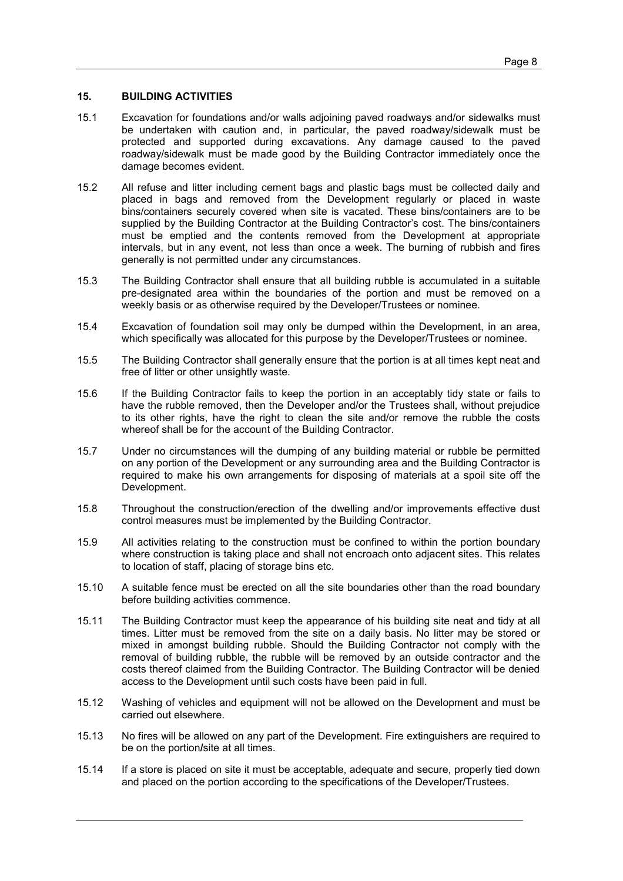#### 15. BUILDING ACTIVITIES

- 15.1 Excavation for foundations and/or walls adjoining paved roadways and/or sidewalks must be undertaken with caution and, in particular, the paved roadway/sidewalk must be protected and supported during excavations. Any damage caused to the paved roadway/sidewalk must be made good by the Building Contractor immediately once the damage becomes evident.
- 15.2 All refuse and litter including cement bags and plastic bags must be collected daily and placed in bags and removed from the Development regularly or placed in waste bins/containers securely covered when site is vacated. These bins/containers are to be supplied by the Building Contractor at the Building Contractor's cost. The bins/containers must be emptied and the contents removed from the Development at appropriate intervals, but in any event, not less than once a week. The burning of rubbish and fires generally is not permitted under any circumstances.
- 15.3 The Building Contractor shall ensure that all building rubble is accumulated in a suitable pre-designated area within the boundaries of the portion and must be removed on a weekly basis or as otherwise required by the Developer/Trustees or nominee.
- 15.4 Excavation of foundation soil may only be dumped within the Development, in an area, which specifically was allocated for this purpose by the Developer/Trustees or nominee.
- 15.5 The Building Contractor shall generally ensure that the portion is at all times kept neat and free of litter or other unsightly waste.
- 15.6 If the Building Contractor fails to keep the portion in an acceptably tidy state or fails to have the rubble removed, then the Developer and/or the Trustees shall, without prejudice to its other rights, have the right to clean the site and/or remove the rubble the costs whereof shall be for the account of the Building Contractor.
- 15.7 Under no circumstances will the dumping of any building material or rubble be permitted on any portion of the Development or any surrounding area and the Building Contractor is required to make his own arrangements for disposing of materials at a spoil site off the Development.
- 15.8 Throughout the construction/erection of the dwelling and/or improvements effective dust control measures must be implemented by the Building Contractor.
- 15.9 All activities relating to the construction must be confined to within the portion boundary where construction is taking place and shall not encroach onto adjacent sites. This relates to location of staff, placing of storage bins etc.
- 15.10 A suitable fence must be erected on all the site boundaries other than the road boundary before building activities commence.
- 15.11 The Building Contractor must keep the appearance of his building site neat and tidy at all times. Litter must be removed from the site on a daily basis. No litter may be stored or mixed in amongst building rubble. Should the Building Contractor not comply with the removal of building rubble, the rubble will be removed by an outside contractor and the costs thereof claimed from the Building Contractor. The Building Contractor will be denied access to the Development until such costs have been paid in full.
- 15.12 Washing of vehicles and equipment will not be allowed on the Development and must be carried out elsewhere.
- 15.13 No fires will be allowed on any part of the Development. Fire extinguishers are required to be on the portion/site at all times.
- 15.14 If a store is placed on site it must be acceptable, adequate and secure, properly tied down and placed on the portion according to the specifications of the Developer/Trustees.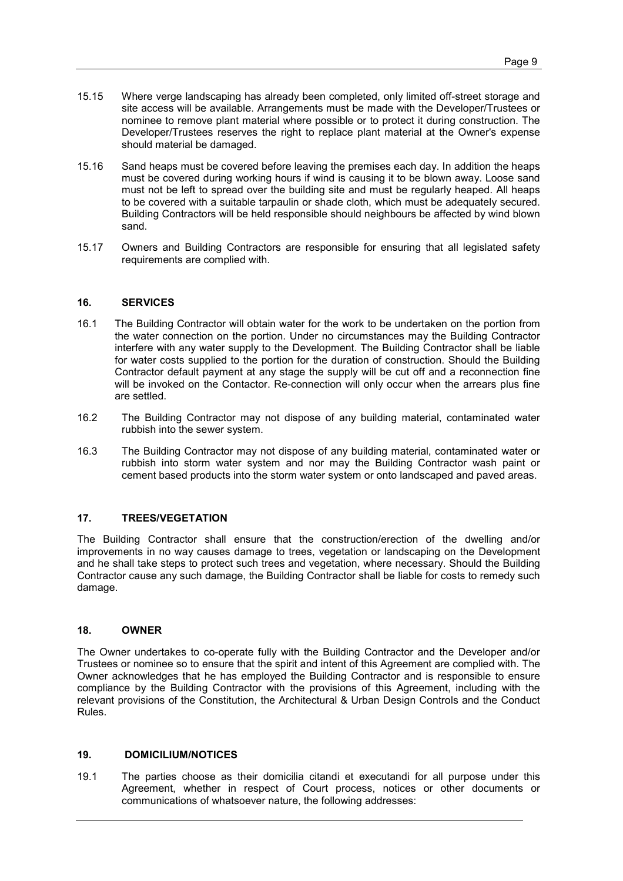- 15.15 Where verge landscaping has already been completed, only limited off-street storage and site access will be available. Arrangements must be made with the Developer/Trustees or nominee to remove plant material where possible or to protect it during construction. The Developer/Trustees reserves the right to replace plant material at the Owner's expense should material be damaged.
- 15.16 Sand heaps must be covered before leaving the premises each day. In addition the heaps must be covered during working hours if wind is causing it to be blown away. Loose sand must not be left to spread over the building site and must be regularly heaped. All heaps to be covered with a suitable tarpaulin or shade cloth, which must be adequately secured. Building Contractors will be held responsible should neighbours be affected by wind blown sand.
- 15.17 Owners and Building Contractors are responsible for ensuring that all legislated safety requirements are complied with.

#### 16. SERVICES

- 16.1 The Building Contractor will obtain water for the work to be undertaken on the portion from the water connection on the portion. Under no circumstances may the Building Contractor interfere with any water supply to the Development. The Building Contractor shall be liable for water costs supplied to the portion for the duration of construction. Should the Building Contractor default payment at any stage the supply will be cut off and a reconnection fine will be invoked on the Contactor. Re-connection will only occur when the arrears plus fine are settled.
- 16.2 The Building Contractor may not dispose of any building material, contaminated water rubbish into the sewer system.
- 16.3 The Building Contractor may not dispose of any building material, contaminated water or rubbish into storm water system and nor may the Building Contractor wash paint or cement based products into the storm water system or onto landscaped and paved areas.

#### 17. TREES/VEGETATION

The Building Contractor shall ensure that the construction/erection of the dwelling and/or improvements in no way causes damage to trees, vegetation or landscaping on the Development and he shall take steps to protect such trees and vegetation, where necessary. Should the Building Contractor cause any such damage, the Building Contractor shall be liable for costs to remedy such damage.

#### 18. OWNER

The Owner undertakes to co-operate fully with the Building Contractor and the Developer and/or Trustees or nominee so to ensure that the spirit and intent of this Agreement are complied with. The Owner acknowledges that he has employed the Building Contractor and is responsible to ensure compliance by the Building Contractor with the provisions of this Agreement, including with the relevant provisions of the Constitution, the Architectural & Urban Design Controls and the Conduct Rules.

#### 19. DOMICILIUM/NOTICES

19.1 The parties choose as their domicilia citandi et executandi for all purpose under this Agreement, whether in respect of Court process, notices or other documents or communications of whatsoever nature, the following addresses: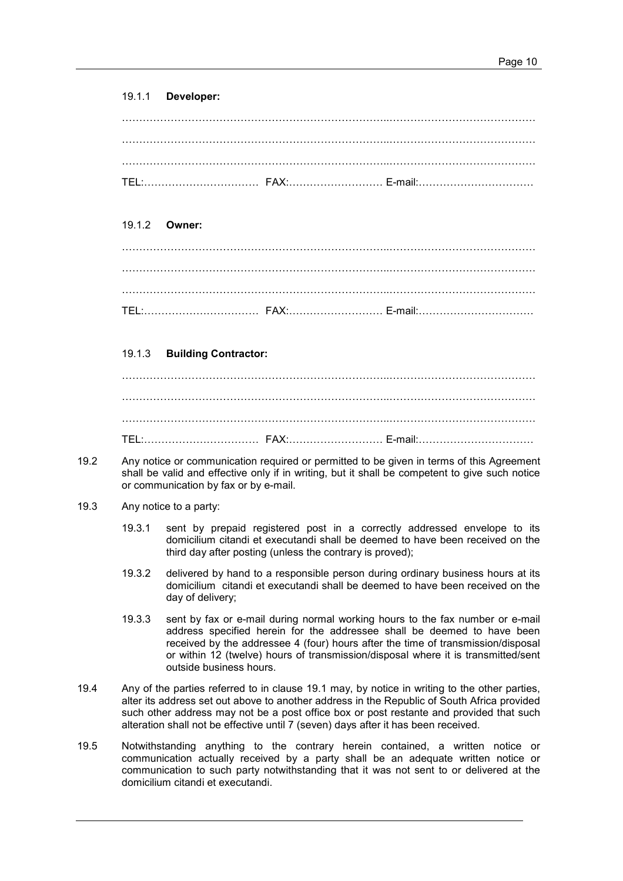#### 19.1.1 Developer:

#### 19.1.2 Owner:

#### 19.1.3 Building Contractor:

# …………………………………………………………………..…………………………………… …………………………………………………………………..…………………………………… TEL:…………………………… FAX:……………………… E-mail:……………………………

- 19.2 Any notice or communication required or permitted to be given in terms of this Agreement shall be valid and effective only if in writing, but it shall be competent to give such notice or communication by fax or by e-mail.
- 19.3 Any notice to a party:
	- 19.3.1 sent by prepaid registered post in a correctly addressed envelope to its domicilium citandi et executandi shall be deemed to have been received on the third day after posting (unless the contrary is proved);
	- 19.3.2 delivered by hand to a responsible person during ordinary business hours at its domicilium citandi et executandi shall be deemed to have been received on the day of delivery;
	- 19.3.3 sent by fax or e-mail during normal working hours to the fax number or e-mail address specified herein for the addressee shall be deemed to have been received by the addressee 4 (four) hours after the time of transmission/disposal or within 12 (twelve) hours of transmission/disposal where it is transmitted/sent outside business hours.
- 19.4 Any of the parties referred to in clause 19.1 may, by notice in writing to the other parties, alter its address set out above to another address in the Republic of South Africa provided such other address may not be a post office box or post restante and provided that such alteration shall not be effective until 7 (seven) days after it has been received.
- 19.5 Notwithstanding anything to the contrary herein contained, a written notice or communication actually received by a party shall be an adequate written notice or communication to such party notwithstanding that it was not sent to or delivered at the domicilium citandi et executandi.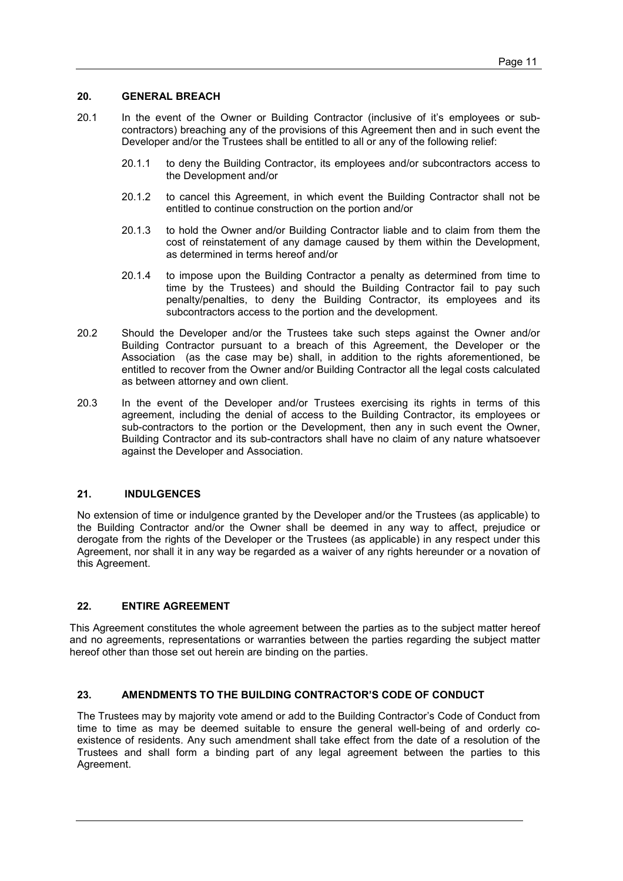#### 20. GENERAL BREACH

- 20.1 In the event of the Owner or Building Contractor (inclusive of it's employees or subcontractors) breaching any of the provisions of this Agreement then and in such event the Developer and/or the Trustees shall be entitled to all or any of the following relief:
	- 20.1.1 to deny the Building Contractor, its employees and/or subcontractors access to the Development and/or
	- 20.1.2 to cancel this Agreement, in which event the Building Contractor shall not be entitled to continue construction on the portion and/or
	- 20.1.3 to hold the Owner and/or Building Contractor liable and to claim from them the cost of reinstatement of any damage caused by them within the Development, as determined in terms hereof and/or
	- 20.1.4 to impose upon the Building Contractor a penalty as determined from time to time by the Trustees) and should the Building Contractor fail to pay such penalty/penalties, to deny the Building Contractor, its employees and its subcontractors access to the portion and the development.
- 20.2 Should the Developer and/or the Trustees take such steps against the Owner and/or Building Contractor pursuant to a breach of this Agreement, the Developer or the Association (as the case may be) shall, in addition to the rights aforementioned, be entitled to recover from the Owner and/or Building Contractor all the legal costs calculated as between attorney and own client.
- 20.3 In the event of the Developer and/or Trustees exercising its rights in terms of this agreement, including the denial of access to the Building Contractor, its employees or sub-contractors to the portion or the Development, then any in such event the Owner, Building Contractor and its sub-contractors shall have no claim of any nature whatsoever against the Developer and Association.

#### 21. INDULGENCES

No extension of time or indulgence granted by the Developer and/or the Trustees (as applicable) to the Building Contractor and/or the Owner shall be deemed in any way to affect, prejudice or derogate from the rights of the Developer or the Trustees (as applicable) in any respect under this Agreement, nor shall it in any way be regarded as a waiver of any rights hereunder or a novation of this Agreement.

#### 22. ENTIRE AGREEMENT

This Agreement constitutes the whole agreement between the parties as to the subject matter hereof and no agreements, representations or warranties between the parties regarding the subject matter hereof other than those set out herein are binding on the parties.

#### 23. AMENDMENTS TO THE BUILDING CONTRACTOR'S CODE OF CONDUCT

The Trustees may by majority vote amend or add to the Building Contractor's Code of Conduct from time to time as may be deemed suitable to ensure the general well-being of and orderly coexistence of residents. Any such amendment shall take effect from the date of a resolution of the Trustees and shall form a binding part of any legal agreement between the parties to this Agreement.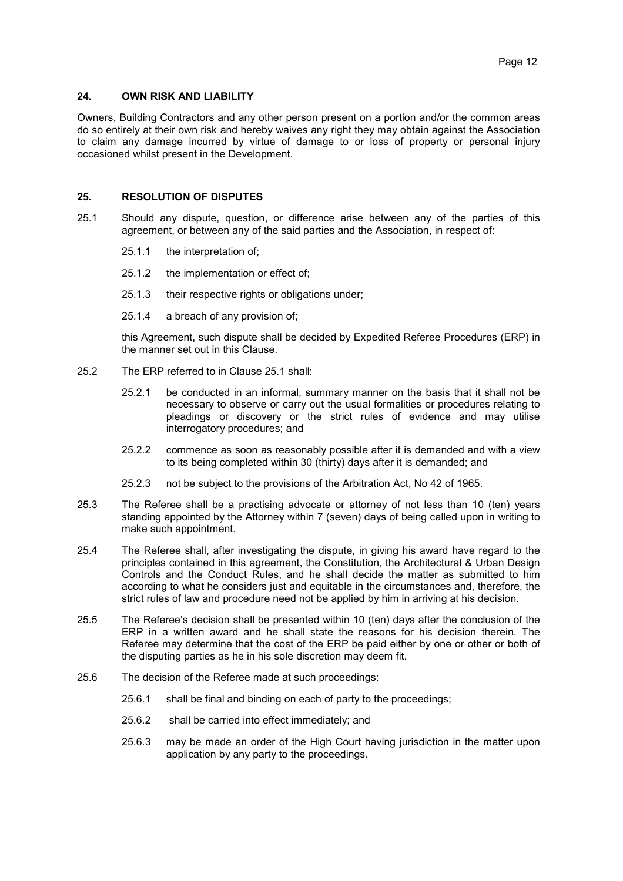#### 24. OWN RISK AND LIABILITY

Owners, Building Contractors and any other person present on a portion and/or the common areas do so entirely at their own risk and hereby waives any right they may obtain against the Association to claim any damage incurred by virtue of damage to or loss of property or personal injury occasioned whilst present in the Development.

#### 25. RESOLUTION OF DISPUTES

- 25.1 Should any dispute, question, or difference arise between any of the parties of this agreement, or between any of the said parties and the Association, in respect of:
	- 25.1.1 the interpretation of;
	- 25.1.2 the implementation or effect of;
	- 25.1.3 their respective rights or obligations under;
	- 25.1.4 a breach of any provision of;

this Agreement, such dispute shall be decided by Expedited Referee Procedures (ERP) in the manner set out in this Clause.

- 25.2 The ERP referred to in Clause 25.1 shall:
	- 25.2.1 be conducted in an informal, summary manner on the basis that it shall not be necessary to observe or carry out the usual formalities or procedures relating to pleadings or discovery or the strict rules of evidence and may utilise interrogatory procedures; and
	- 25.2.2 commence as soon as reasonably possible after it is demanded and with a view to its being completed within 30 (thirty) days after it is demanded; and
	- 25.2.3 not be subject to the provisions of the Arbitration Act, No 42 of 1965.
- 25.3 The Referee shall be a practising advocate or attorney of not less than 10 (ten) years standing appointed by the Attorney within 7 (seven) days of being called upon in writing to make such appointment.
- 25.4 The Referee shall, after investigating the dispute, in giving his award have regard to the principles contained in this agreement, the Constitution, the Architectural & Urban Design Controls and the Conduct Rules, and he shall decide the matter as submitted to him according to what he considers just and equitable in the circumstances and, therefore, the strict rules of law and procedure need not be applied by him in arriving at his decision.
- 25.5 The Referee's decision shall be presented within 10 (ten) days after the conclusion of the ERP in a written award and he shall state the reasons for his decision therein. The Referee may determine that the cost of the ERP be paid either by one or other or both of the disputing parties as he in his sole discretion may deem fit.
- 25.6 The decision of the Referee made at such proceedings:
	- 25.6.1 shall be final and binding on each of party to the proceedings;
	- 25.6.2 shall be carried into effect immediately; and
	- 25.6.3 may be made an order of the High Court having jurisdiction in the matter upon application by any party to the proceedings.